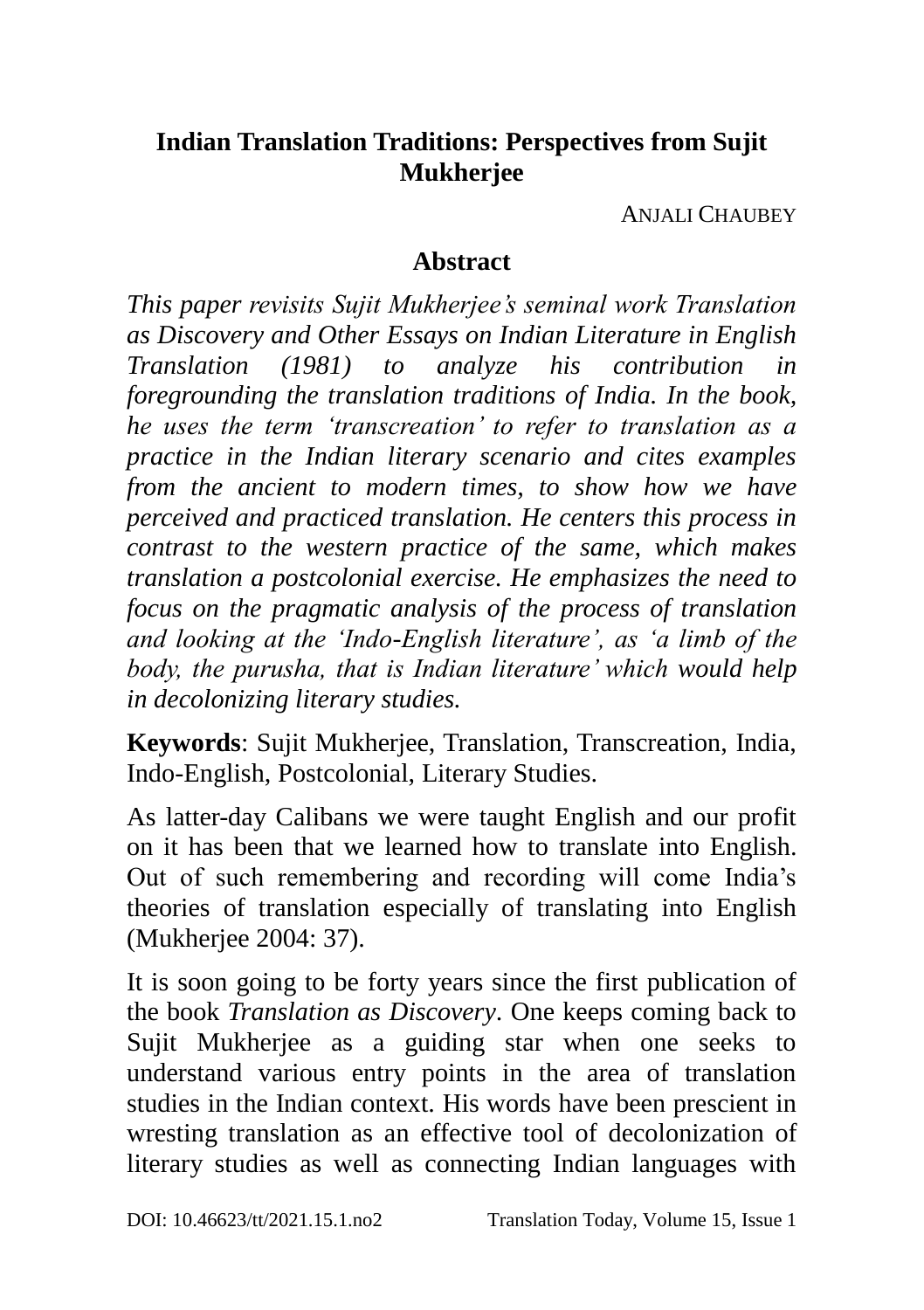# **Indian Translation Traditions: Perspectives from Sujit Mukherjee**

ANJALI CHAUBEY

### **Abstract**

*This paper revisits Sujit Mukherjee's seminal work Translation as Discovery and Other Essays on Indian Literature in English Translation (1981) to analyze his contribution in foregrounding the translation traditions of India. In the book, he uses the term 'transcreation' to refer to translation as a practice in the Indian literary scenario and cites examples from the ancient to modern times, to show how we have perceived and practiced translation. He centers this process in contrast to the western practice of the same, which makes translation a postcolonial exercise. He emphasizes the need to focus on the pragmatic analysis of the process of translation and looking at the 'Indo-English literature', as 'a limb of the body, the purusha, that is Indian literature' which would help in decolonizing literary studies.* 

**Keywords**: Sujit Mukherjee, Translation, Transcreation, India, Indo-English, Postcolonial, Literary Studies.

As latter-day Calibans we were taught English and our profit on it has been that we learned how to translate into English. Out of such remembering and recording will come India's theories of translation especially of translating into English (Mukherjee 2004: 37).

It is soon going to be forty years since the first publication of the book *Translation as Discovery*. One keeps coming back to Sujit Mukherjee as a guiding star when one seeks to understand various entry points in the area of translation studies in the Indian context. His words have been prescient in wresting translation as an effective tool of decolonization of literary studies as well as connecting Indian languages with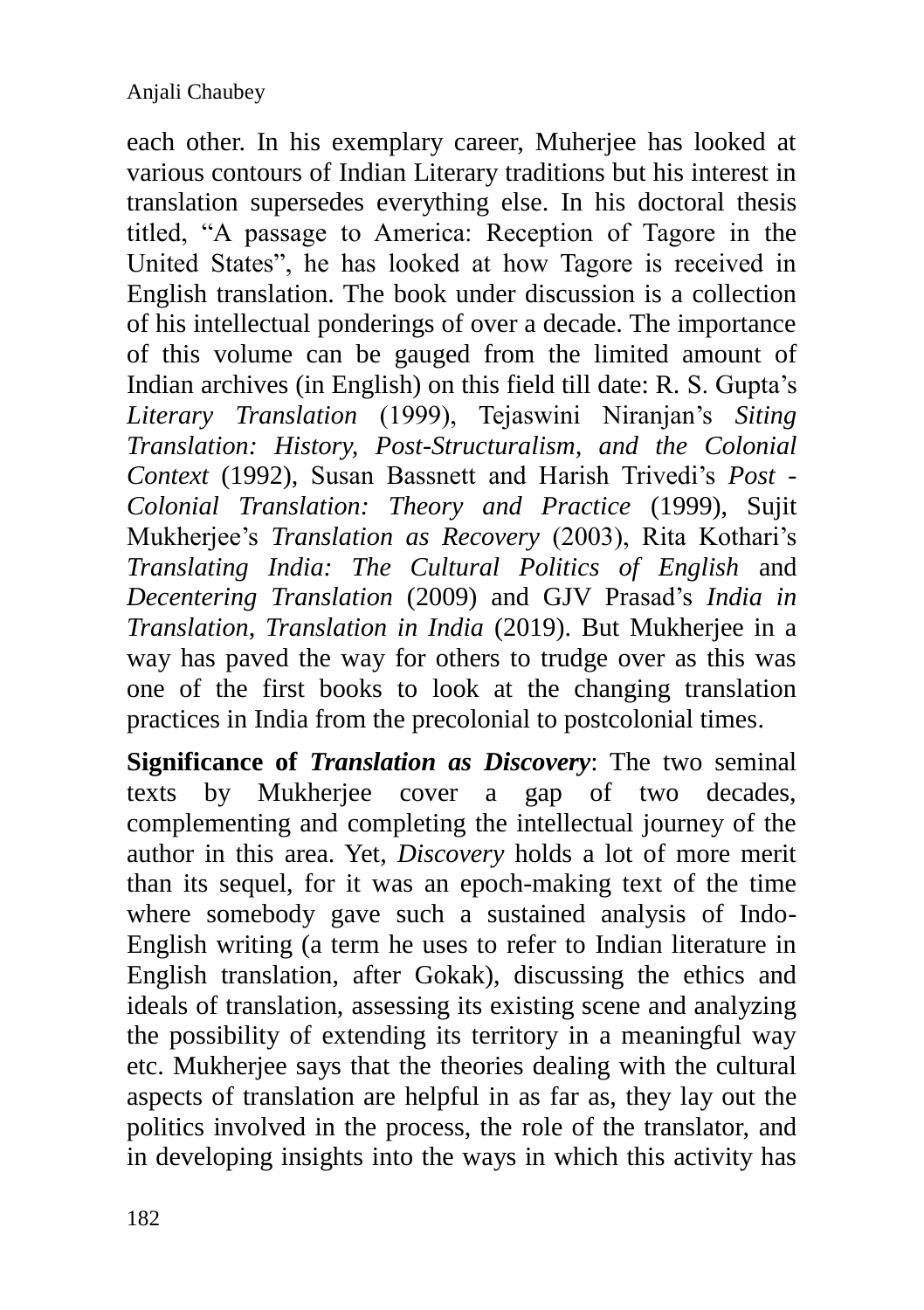each other. In his exemplary career, Muherjee has looked at various contours of Indian Literary traditions but his interest in translation supersedes everything else. In his doctoral thesis titled, "A passage to America: Reception of Tagore in the United States", he has looked at how Tagore is received in English translation. The book under discussion is a collection of his intellectual ponderings of over a decade. The importance of this volume can be gauged from the limited amount of Indian archives (in English) on this field till date: R. S. Gupta's *Literary Translation* (1999), Tejaswini Niranjan's *Siting Translation: History, Post-Structuralism, and the Colonial Context* (1992), Susan Bassnett and Harish Trivedi's *Post - Colonial Translation: Theory and Practice* (1999), Sujit Mukherjee's *Translation as Recovery* (2003), Rita Kothari's *Translating India: The Cultural Politics of English* and *Decentering Translation* (2009) and GJV Prasad's *India in Translation, Translation in India* (2019). But Mukherjee in a way has paved the way for others to trudge over as this was one of the first books to look at the changing translation practices in India from the precolonial to postcolonial times.

**Significance of** *Translation as Discovery*: The two seminal texts by Mukherjee cover a gap of two decades, complementing and completing the intellectual journey of the author in this area. Yet, *Discovery* holds a lot of more merit than its sequel, for it was an epoch-making text of the time where somebody gave such a sustained analysis of Indo-English writing (a term he uses to refer to Indian literature in English translation, after Gokak), discussing the ethics and ideals of translation, assessing its existing scene and analyzing the possibility of extending its territory in a meaningful way etc. Mukherjee says that the theories dealing with the cultural aspects of translation are helpful in as far as, they lay out the politics involved in the process, the role of the translator, and in developing insights into the ways in which this activity has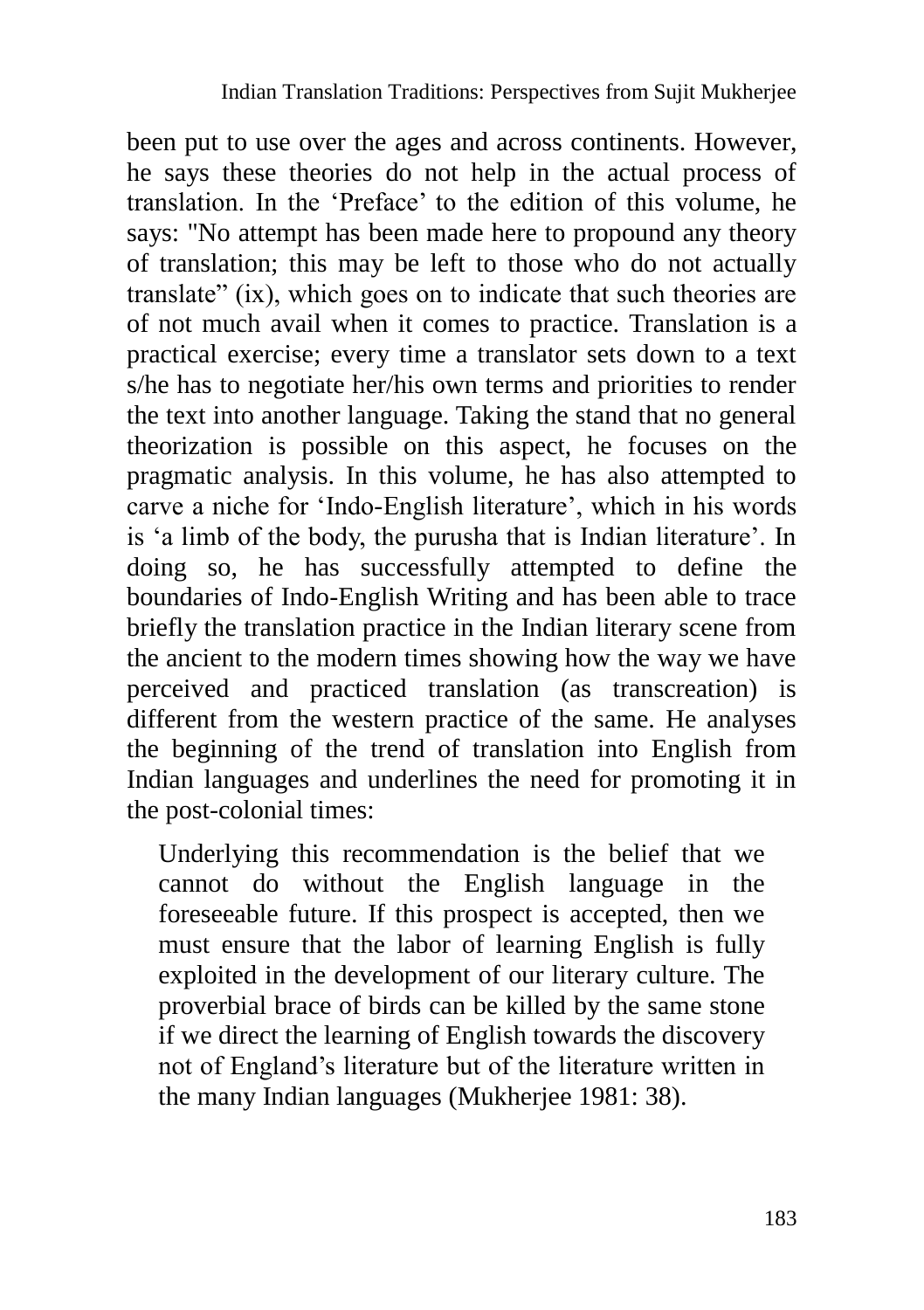been put to use over the ages and across continents. However, he says these theories do not help in the actual process of translation. In the 'Preface' to the edition of this volume, he says: "No attempt has been made here to propound any theory of translation; this may be left to those who do not actually translate" (ix), which goes on to indicate that such theories are of not much avail when it comes to practice. Translation is a practical exercise; every time a translator sets down to a text s/he has to negotiate her/his own terms and priorities to render the text into another language. Taking the stand that no general theorization is possible on this aspect, he focuses on the pragmatic analysis. In this volume, he has also attempted to carve a niche for 'Indo-English literature', which in his words is 'a limb of the body, the purusha that is Indian literature'. In doing so, he has successfully attempted to define the boundaries of Indo-English Writing and has been able to trace briefly the translation practice in the Indian literary scene from the ancient to the modern times showing how the way we have perceived and practiced translation (as transcreation) is different from the western practice of the same. He analyses the beginning of the trend of translation into English from Indian languages and underlines the need for promoting it in the post-colonial times:

Underlying this recommendation is the belief that we cannot do without the English language in the foreseeable future. If this prospect is accepted, then we must ensure that the labor of learning English is fully exploited in the development of our literary culture. The proverbial brace of birds can be killed by the same stone if we direct the learning of English towards the discovery not of England's literature but of the literature written in the many Indian languages (Mukherjee 1981: 38).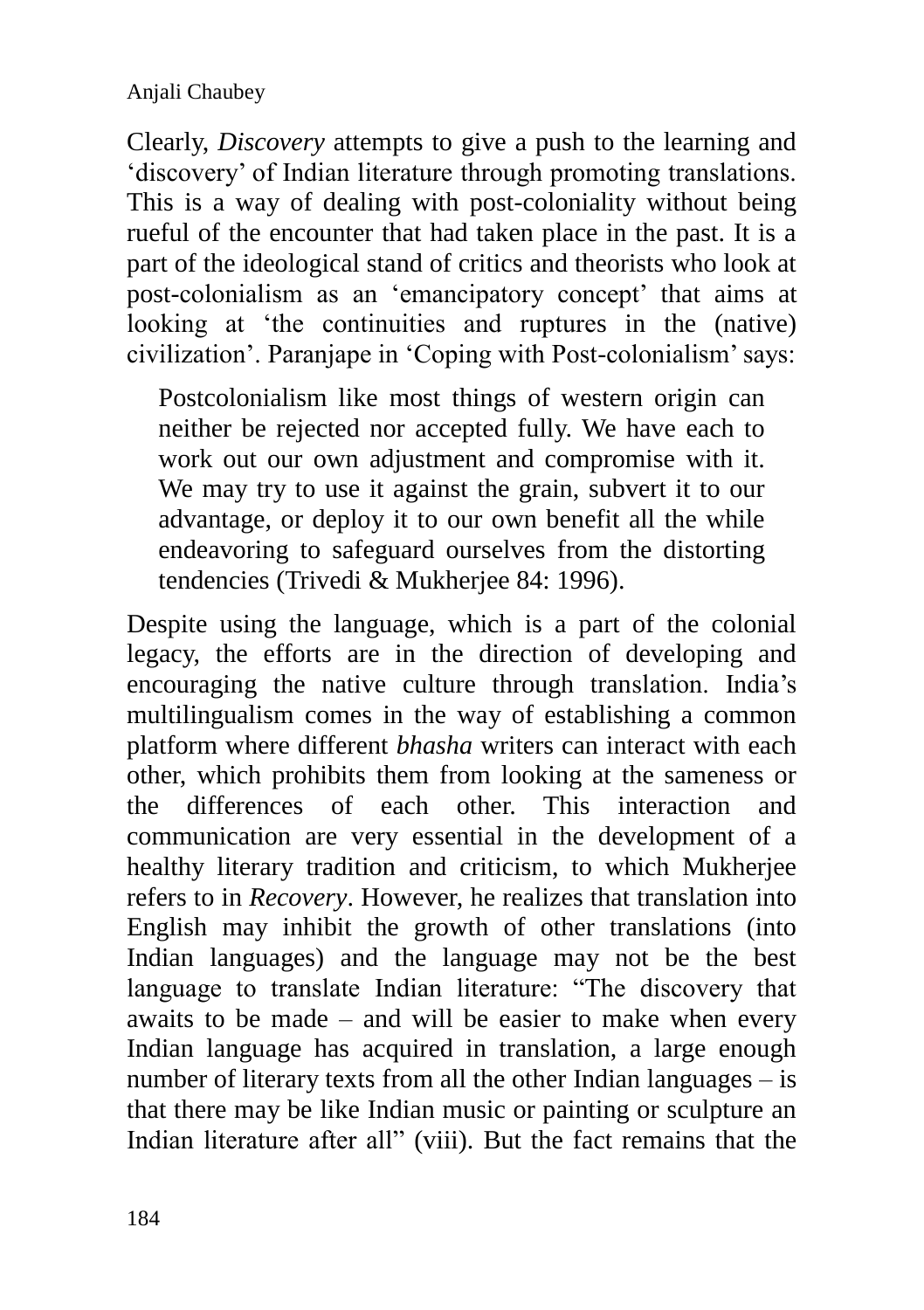Clearly, *Discovery* attempts to give a push to the learning and 'discovery' of Indian literature through promoting translations. This is a way of dealing with post-coloniality without being rueful of the encounter that had taken place in the past. It is a part of the ideological stand of critics and theorists who look at post-colonialism as an 'emancipatory concept' that aims at looking at 'the continuities and ruptures in the (native) civilization'. Paranjape in 'Coping with Post-colonialism' says:

Postcolonialism like most things of western origin can neither be rejected nor accepted fully. We have each to work out our own adjustment and compromise with it. We may try to use it against the grain, subvert it to our advantage, or deploy it to our own benefit all the while endeavoring to safeguard ourselves from the distorting tendencies (Trivedi & Mukherjee 84: 1996).

Despite using the language, which is a part of the colonial legacy, the efforts are in the direction of developing and encouraging the native culture through translation. India's multilingualism comes in the way of establishing a common platform where different *bhasha* writers can interact with each other, which prohibits them from looking at the sameness or the differences of each other. This interaction and communication are very essential in the development of a healthy literary tradition and criticism, to which Mukherjee refers to in *Recovery*. However, he realizes that translation into English may inhibit the growth of other translations (into Indian languages) and the language may not be the best language to translate Indian literature: "The discovery that awaits to be made – and will be easier to make when every Indian language has acquired in translation, a large enough number of literary texts from all the other Indian languages – is that there may be like Indian music or painting or sculpture an Indian literature after all" (viii). But the fact remains that the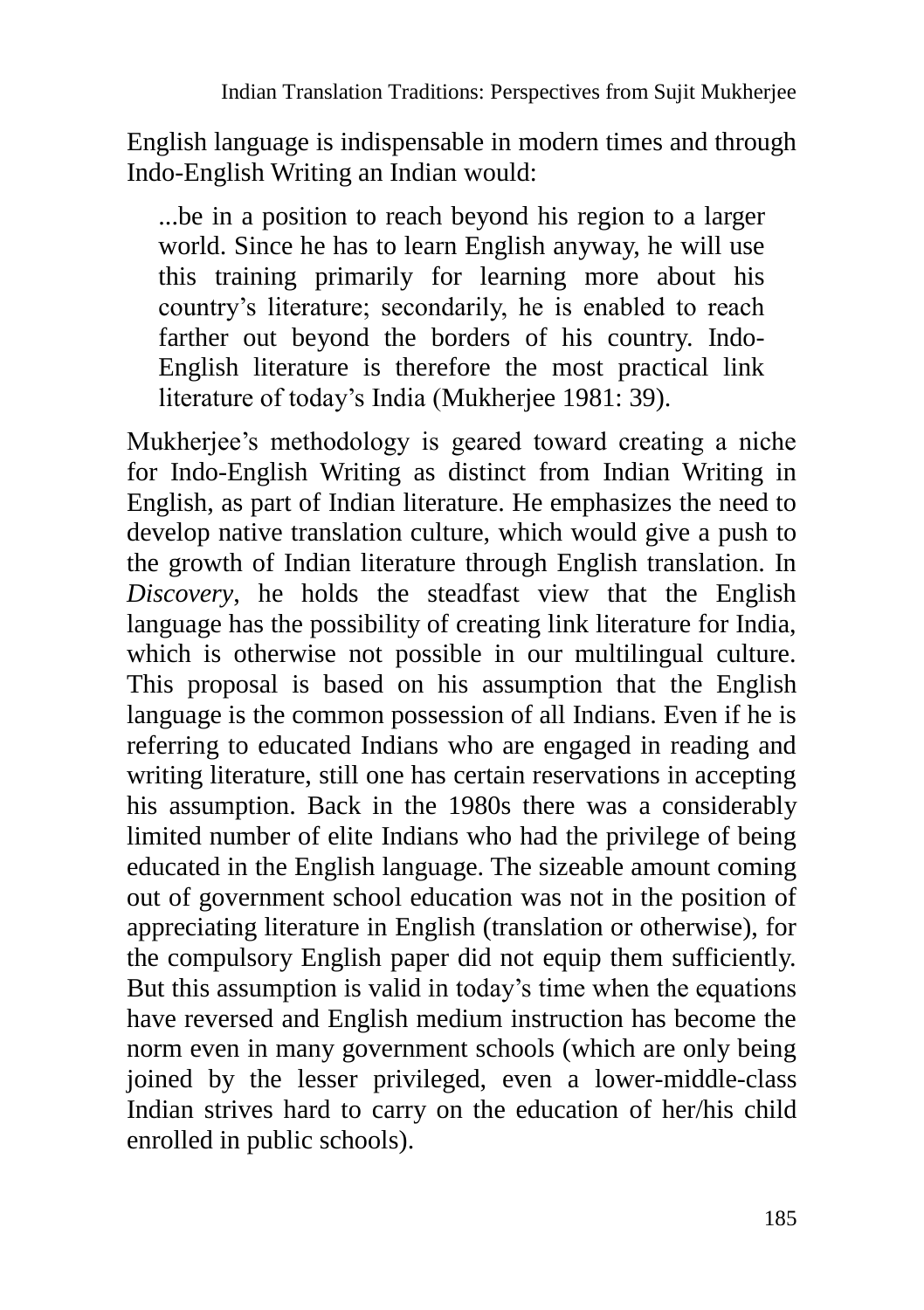English language is indispensable in modern times and through Indo-English Writing an Indian would:

...be in a position to reach beyond his region to a larger world. Since he has to learn English anyway, he will use this training primarily for learning more about his country's literature; secondarily, he is enabled to reach farther out beyond the borders of his country. Indo-English literature is therefore the most practical link literature of today's India (Mukherjee 1981: 39).

Mukherjee's methodology is geared toward creating a niche for Indo-English Writing as distinct from Indian Writing in English, as part of Indian literature. He emphasizes the need to develop native translation culture, which would give a push to the growth of Indian literature through English translation. In *Discovery*, he holds the steadfast view that the English language has the possibility of creating link literature for India, which is otherwise not possible in our multilingual culture. This proposal is based on his assumption that the English language is the common possession of all Indians. Even if he is referring to educated Indians who are engaged in reading and writing literature, still one has certain reservations in accepting his assumption. Back in the 1980s there was a considerably limited number of elite Indians who had the privilege of being educated in the English language. The sizeable amount coming out of government school education was not in the position of appreciating literature in English (translation or otherwise), for the compulsory English paper did not equip them sufficiently. But this assumption is valid in today's time when the equations have reversed and English medium instruction has become the norm even in many government schools (which are only being joined by the lesser privileged, even a lower-middle-class Indian strives hard to carry on the education of her/his child enrolled in public schools).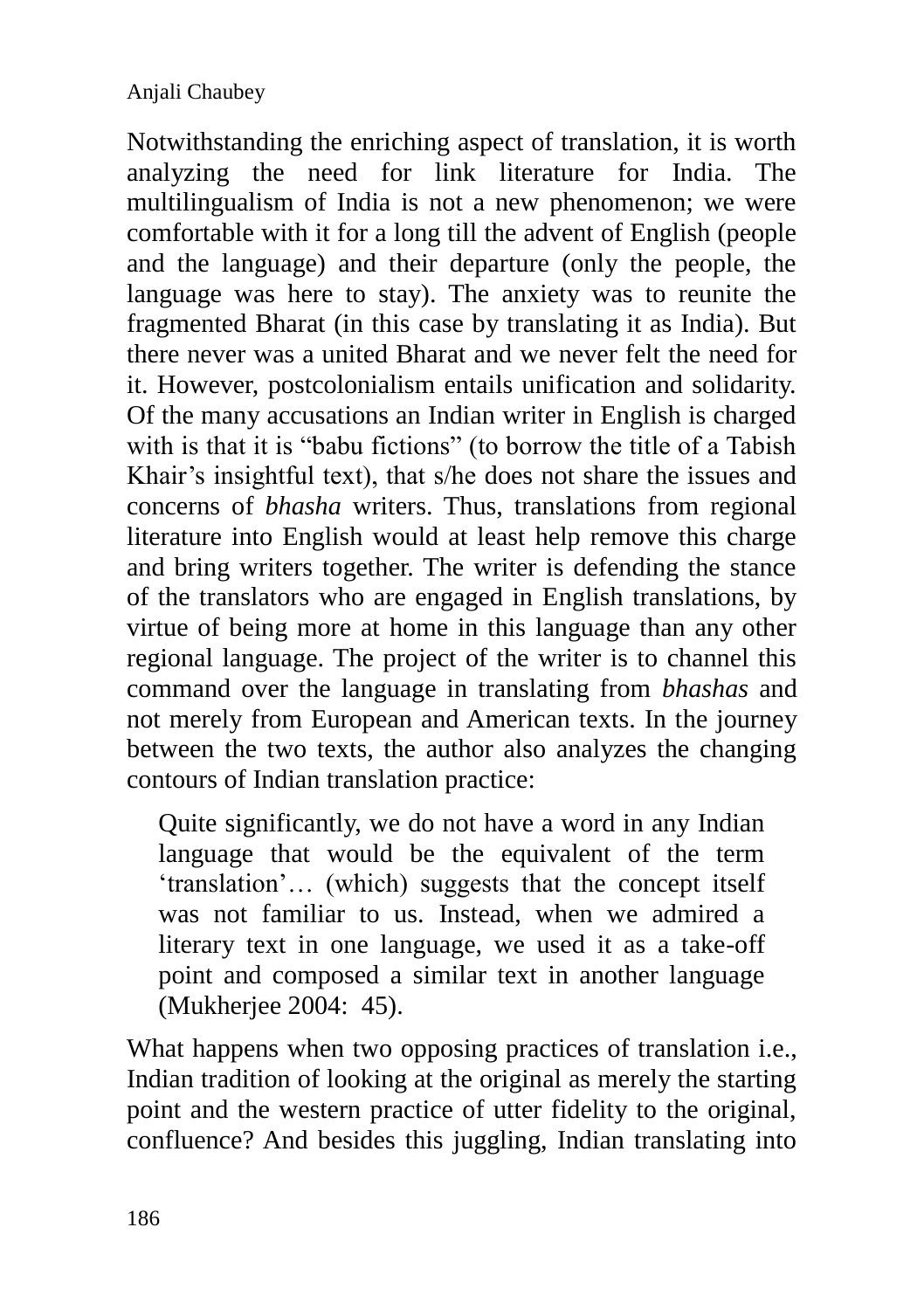Notwithstanding the enriching aspect of translation, it is worth analyzing the need for link literature for India. The multilingualism of India is not a new phenomenon; we were comfortable with it for a long till the advent of English (people and the language) and their departure (only the people, the language was here to stay). The anxiety was to reunite the fragmented Bharat (in this case by translating it as India). But there never was a united Bharat and we never felt the need for it. However, postcolonialism entails unification and solidarity. Of the many accusations an Indian writer in English is charged with is that it is "babu fictions" (to borrow the title of a Tabish Khair's insightful text), that s/he does not share the issues and concerns of *bhasha* writers. Thus, translations from regional literature into English would at least help remove this charge and bring writers together. The writer is defending the stance of the translators who are engaged in English translations, by virtue of being more at home in this language than any other regional language. The project of the writer is to channel this command over the language in translating from *bhashas* and not merely from European and American texts. In the journey between the two texts, the author also analyzes the changing contours of Indian translation practice:

Quite significantly, we do not have a word in any Indian language that would be the equivalent of the term 'translation'… (which) suggests that the concept itself was not familiar to us. Instead, when we admired a literary text in one language, we used it as a take-off point and composed a similar text in another language (Mukherjee 2004: 45).

What happens when two opposing practices of translation i.e., Indian tradition of looking at the original as merely the starting point and the western practice of utter fidelity to the original, confluence? And besides this juggling, Indian translating into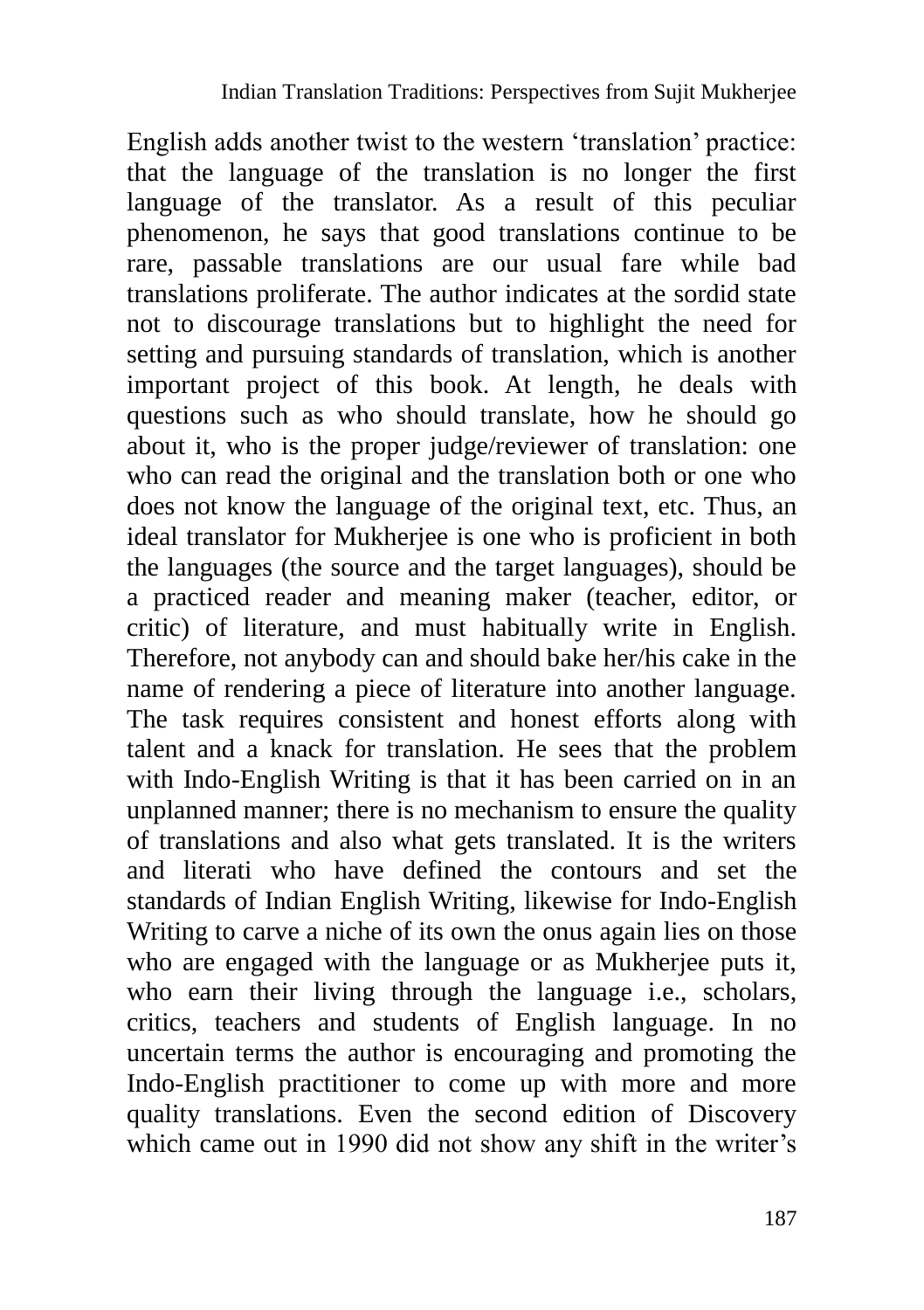English adds another twist to the western 'translation' practice: that the language of the translation is no longer the first language of the translator. As a result of this peculiar phenomenon, he says that good translations continue to be rare, passable translations are our usual fare while bad translations proliferate. The author indicates at the sordid state not to discourage translations but to highlight the need for setting and pursuing standards of translation, which is another important project of this book. At length, he deals with questions such as who should translate, how he should go about it, who is the proper judge/reviewer of translation: one who can read the original and the translation both or one who does not know the language of the original text, etc. Thus, an ideal translator for Mukherjee is one who is proficient in both the languages (the source and the target languages), should be a practiced reader and meaning maker (teacher, editor, or critic) of literature, and must habitually write in English. Therefore, not anybody can and should bake her/his cake in the name of rendering a piece of literature into another language. The task requires consistent and honest efforts along with talent and a knack for translation. He sees that the problem with Indo-English Writing is that it has been carried on in an unplanned manner; there is no mechanism to ensure the quality of translations and also what gets translated. It is the writers and literati who have defined the contours and set the standards of Indian English Writing, likewise for Indo-English Writing to carve a niche of its own the onus again lies on those who are engaged with the language or as Mukherjee puts it, who earn their living through the language *i.e.*, scholars, critics, teachers and students of English language. In no uncertain terms the author is encouraging and promoting the Indo-English practitioner to come up with more and more quality translations. Even the second edition of Discovery which came out in 1990 did not show any shift in the writer's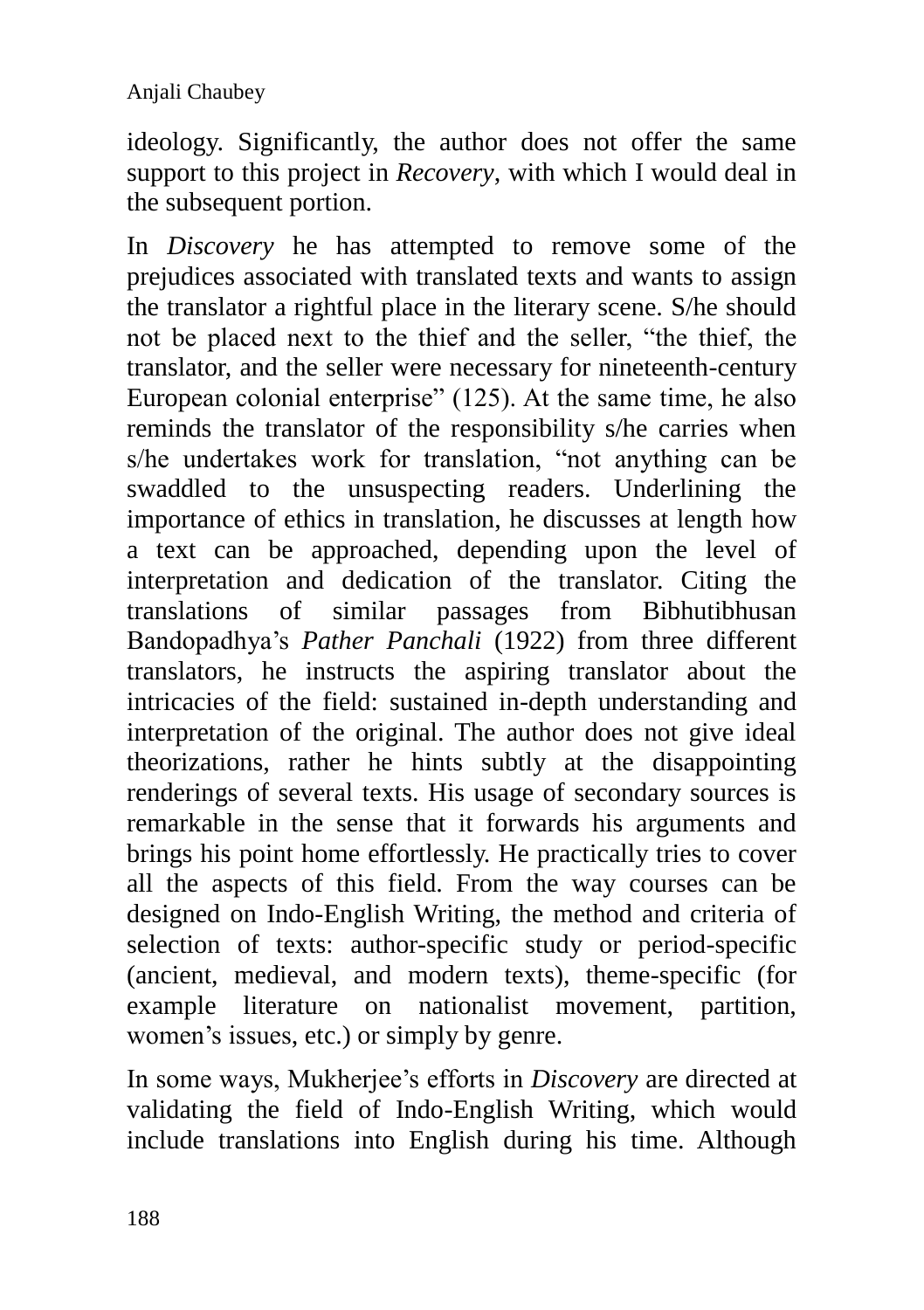ideology. Significantly, the author does not offer the same support to this project in *Recovery*, with which I would deal in the subsequent portion.

In *Discovery* he has attempted to remove some of the prejudices associated with translated texts and wants to assign the translator a rightful place in the literary scene. S/he should not be placed next to the thief and the seller, "the thief, the translator, and the seller were necessary for nineteenth-century European colonial enterprise" (125). At the same time, he also reminds the translator of the responsibility s/he carries when s/he undertakes work for translation, "not anything can be swaddled to the unsuspecting readers. Underlining the importance of ethics in translation, he discusses at length how a text can be approached, depending upon the level of interpretation and dedication of the translator. Citing the translations of similar passages from Bibhutibhusan Bandopadhya's *Pather Panchali* (1922) from three different translators, he instructs the aspiring translator about the intricacies of the field: sustained in-depth understanding and interpretation of the original. The author does not give ideal theorizations, rather he hints subtly at the disappointing renderings of several texts. His usage of secondary sources is remarkable in the sense that it forwards his arguments and brings his point home effortlessly. He practically tries to cover all the aspects of this field. From the way courses can be designed on Indo-English Writing, the method and criteria of selection of texts: author-specific study or period-specific (ancient, medieval, and modern texts), theme-specific (for example literature on nationalist movement, partition, women's issues, etc.) or simply by genre.

In some ways, Mukherjee's efforts in *Discovery* are directed at validating the field of Indo-English Writing, which would include translations into English during his time. Although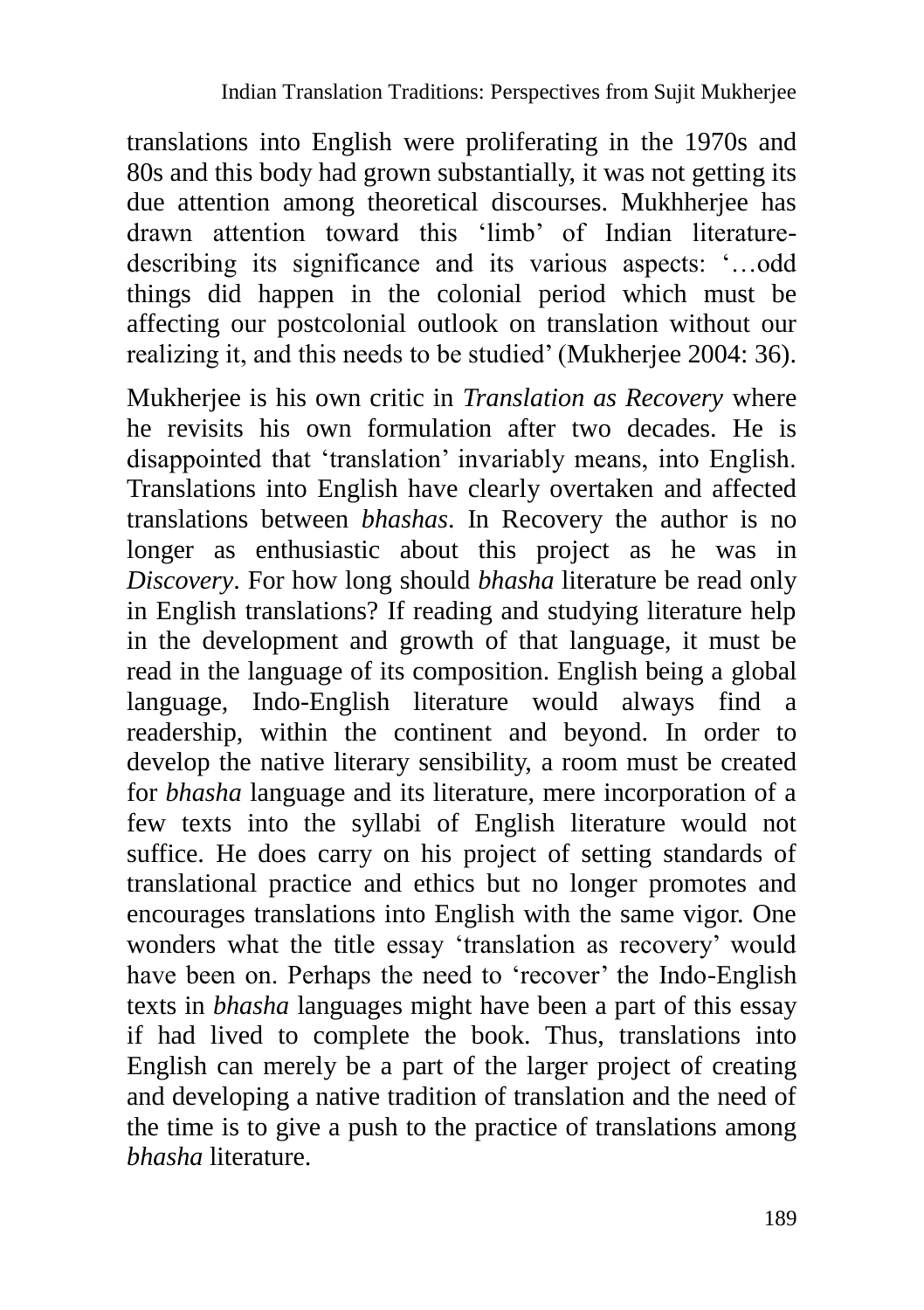translations into English were proliferating in the 1970s and 80s and this body had grown substantially, it was not getting its due attention among theoretical discourses. Mukhherjee has drawn attention toward this 'limb' of Indian literaturedescribing its significance and its various aspects: '…odd things did happen in the colonial period which must be affecting our postcolonial outlook on translation without our realizing it, and this needs to be studied' (Mukherjee 2004: 36).

Mukherjee is his own critic in *Translation as Recovery* where he revisits his own formulation after two decades. He is disappointed that 'translation' invariably means, into English. Translations into English have clearly overtaken and affected translations between *bhashas*. In Recovery the author is no longer as enthusiastic about this project as he was in *Discovery*. For how long should *bhasha* literature be read only in English translations? If reading and studying literature help in the development and growth of that language, it must be read in the language of its composition. English being a global language, Indo-English literature would always find a readership, within the continent and beyond. In order to develop the native literary sensibility, a room must be created for *bhasha* language and its literature, mere incorporation of a few texts into the syllabi of English literature would not suffice. He does carry on his project of setting standards of translational practice and ethics but no longer promotes and encourages translations into English with the same vigor. One wonders what the title essay 'translation as recovery' would have been on. Perhaps the need to 'recover' the Indo-English texts in *bhasha* languages might have been a part of this essay if had lived to complete the book. Thus, translations into English can merely be a part of the larger project of creating and developing a native tradition of translation and the need of the time is to give a push to the practice of translations among *bhasha* literature.